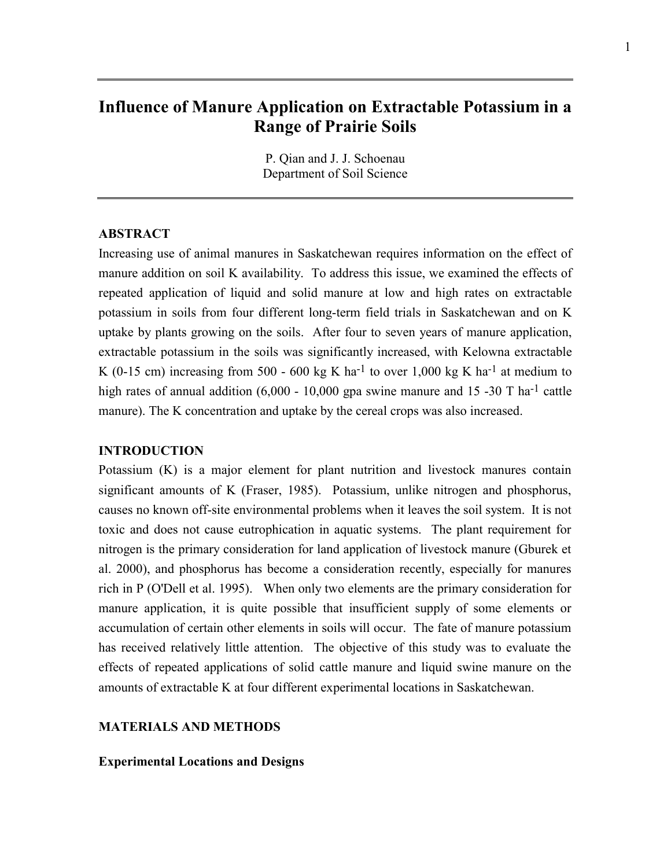# **Influence of Manure Application on Extractable Potassium in a Range of Prairie Soils**

P. Qian and J. J. Schoenau Department of Soil Science

#### **ABSTRACT**

Increasing use of animal manures in Saskatchewan requires information on the effect of manure addition on soil K availability. To address this issue, we examined the effects of repeated application of liquid and solid manure at low and high rates on extractable potassium in soils from four different long-term field trials in Saskatchewan and on K uptake by plants growing on the soils. After four to seven years of manure application, extractable potassium in the soils was significantly increased, with Kelowna extractable K (0-15 cm) increasing from 500 - 600 kg K ha<sup>-1</sup> to over 1,000 kg K ha<sup>-1</sup> at medium to high rates of annual addition  $(6,000 - 10,000)$  gpa swine manure and 15 -30 T ha<sup>-1</sup> cattle manure). The K concentration and uptake by the cereal crops was also increased.

#### **INTRODUCTION**

Potassium (K) is a major element for plant nutrition and livestock manures contain significant amounts of K (Fraser, 1985). Potassium, unlike nitrogen and phosphorus, causes no known off-site environmental problems when it leaves the soil system. It is not toxic and does not cause eutrophication in aquatic systems. The plant requirement for nitrogen is the primary consideration for land application of livestock manure (Gburek et al. 2000), and phosphorus has become a consideration recently, especially for manures rich in P (O'Dell et al. 1995). When only two elements are the primary consideration for manure application, it is quite possible that insufficient supply of some elements or accumulation of certain other elements in soils will occur. The fate of manure potassium has received relatively little attention. The objective of this study was to evaluate the effects of repeated applications of solid cattle manure and liquid swine manure on the amounts of extractable K at four different experimental locations in Saskatchewan.

## **MATERIALS AND METHODS**

## **Experimental Locations and Designs**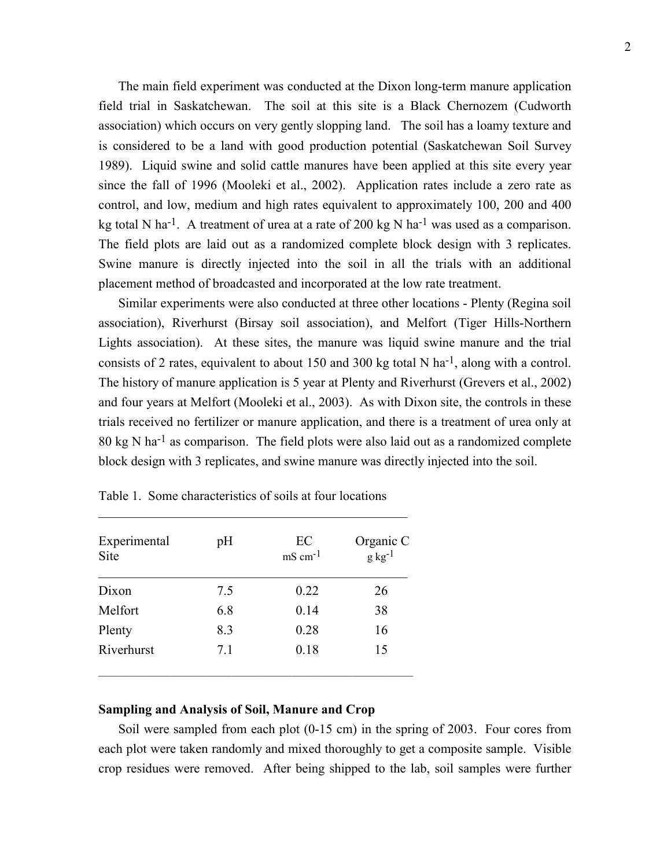The main field experiment was conducted at the Dixon long-term manure application field trial in Saskatchewan. The soil at this site is a Black Chernozem (Cudworth association) which occurs on very gently slopping land. The soil has a loamy texture and is considered to be a land with good production potential (Saskatchewan Soil Survey 1989). Liquid swine and solid cattle manures have been applied at this site every year since the fall of 1996 (Mooleki et al., 2002). Application rates include a zero rate as control, and low, medium and high rates equivalent to approximately 100, 200 and 400 kg total N ha<sup>-1</sup>. A treatment of urea at a rate of 200 kg N ha<sup>-1</sup> was used as a comparison. The field plots are laid out as a randomized complete block design with 3 replicates. Swine manure is directly injected into the soil in all the trials with an additional placement method of broadcasted and incorporated at the low rate treatment.

 Similar experiments were also conducted at three other locations - Plenty (Regina soil association), Riverhurst (Birsay soil association), and Melfort (Tiger Hills-Northern Lights association). At these sites, the manure was liquid swine manure and the trial consists of 2 rates, equivalent to about 150 and 300 kg total N ha<sup>-1</sup>, along with a control. The history of manure application is 5 year at Plenty and Riverhurst (Grevers et al., 2002) and four years at Melfort (Mooleki et al., 2003). As with Dixon site, the controls in these trials received no fertilizer or manure application, and there is a treatment of urea only at 80 kg N ha-1 as comparison. The field plots were also laid out as a randomized complete block design with 3 replicates, and swine manure was directly injected into the soil.

| Experimental<br>Site | pH  | EC<br>$\text{mS cm}^{-1}$ | Organic C<br>$g \text{ kg}^{-1}$ |
|----------------------|-----|---------------------------|----------------------------------|
| Dixon                | 7.5 | 0.22                      | 26                               |
| Melfort              | 6.8 | 0.14                      | 38                               |
| Plenty               | 8.3 | 0.28                      | 16                               |
| Riverhurst           | 7.1 | 0.18                      | 15                               |

Table 1. Some characteristics of soils at four locations

 $\mathcal{L}_\text{max}$  , and the contract of the contract of the contract of the contract of the contract of the contract of the contract of the contract of the contract of the contract of the contract of the contract of the contr

## **Sampling and Analysis of Soil, Manure and Crop**

 Soil were sampled from each plot (0-15 cm) in the spring of 2003. Four cores from each plot were taken randomly and mixed thoroughly to get a composite sample. Visible crop residues were removed. After being shipped to the lab, soil samples were further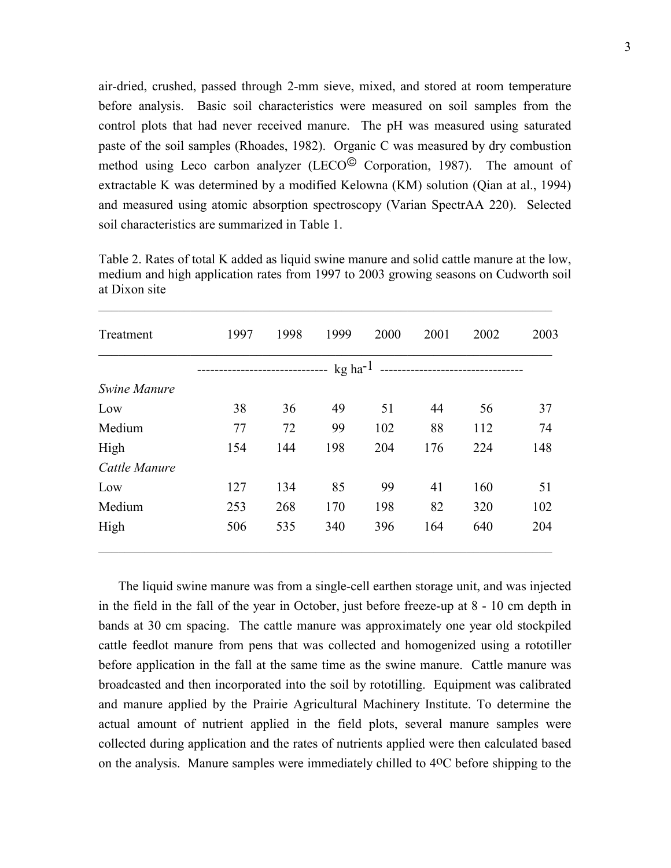air-dried, crushed, passed through 2-mm sieve, mixed, and stored at room temperature before analysis. Basic soil characteristics were measured on soil samples from the control plots that had never received manure. The pH was measured using saturated paste of the soil samples (Rhoades, 1982). Organic C was measured by dry combustion method using Leco carbon analyzer (LECO $\textcircled{}$  Corporation, 1987). The amount of extractable K was determined by a modified Kelowna (KM) solution (Qian at al., 1994) and measured using atomic absorption spectroscopy (Varian SpectrAA 220). Selected soil characteristics are summarized in Table 1.

| Treatment     | 1997                                                | 1998 | 1999 | 2000 | 2001 | 2002 | 2003 |  |  |
|---------------|-----------------------------------------------------|------|------|------|------|------|------|--|--|
|               | $kg$ ha <sup>-1</sup><br>-------------------------- |      |      |      |      |      |      |  |  |
| Swine Manure  |                                                     |      |      |      |      |      |      |  |  |
| Low           | 38                                                  | 36   | 49   | 51   | 44   | 56   | 37   |  |  |
| Medium        | 77                                                  | 72   | 99   | 102  | 88   | 112  | 74   |  |  |
| High          | 154                                                 | 144  | 198  | 204  | 176  | 224  | 148  |  |  |
| Cattle Manure |                                                     |      |      |      |      |      |      |  |  |
| Low           | 127                                                 | 134  | 85   | 99   | 41   | 160  | 51   |  |  |
| Medium        | 253                                                 | 268  | 170  | 198  | 82   | 320  | 102  |  |  |
| High          | 506                                                 | 535  | 340  | 396  | 164  | 640  | 204  |  |  |

Table 2. Rates of total K added as liquid swine manure and solid cattle manure at the low, medium and high application rates from 1997 to 2003 growing seasons on Cudworth soil at Dixon site

 $\mathcal{L}_\text{max} = \frac{1}{2} \sum_{i=1}^n \mathcal{L}_\text{max}(\mathbf{z}_i - \mathbf{z}_i)$ 

 The liquid swine manure was from a single-cell earthen storage unit, and was injected in the field in the fall of the year in October, just before freeze-up at 8 - 10 cm depth in bands at 30 cm spacing. The cattle manure was approximately one year old stockpiled cattle feedlot manure from pens that was collected and homogenized using a rototiller before application in the fall at the same time as the swine manure. Cattle manure was broadcasted and then incorporated into the soil by rototilling. Equipment was calibrated and manure applied by the Prairie Agricultural Machinery Institute. To determine the actual amount of nutrient applied in the field plots, several manure samples were collected during application and the rates of nutrients applied were then calculated based on the analysis. Manure samples were immediately chilled to 4oC before shipping to the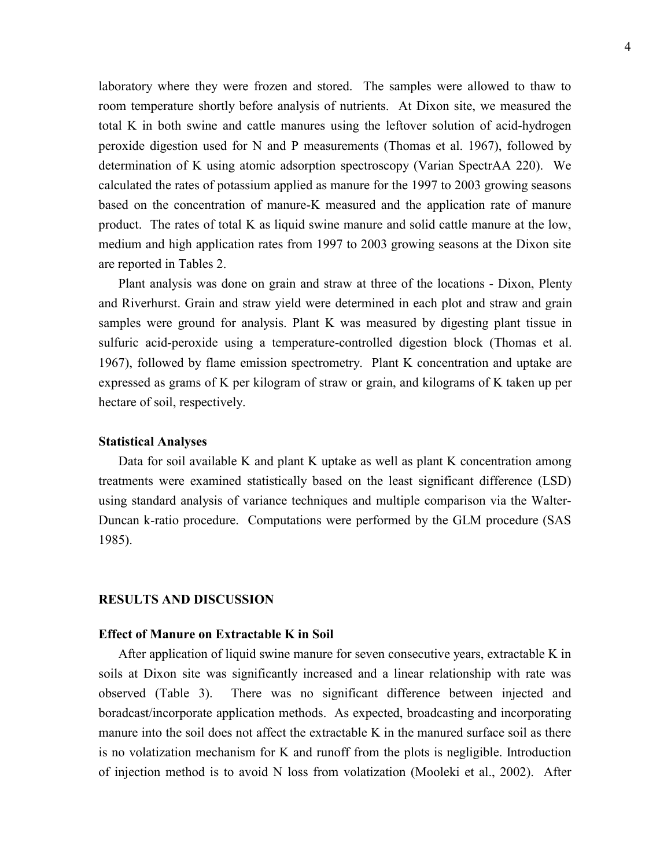laboratory where they were frozen and stored. The samples were allowed to thaw to room temperature shortly before analysis of nutrients. At Dixon site, we measured the total K in both swine and cattle manures using the leftover solution of acid-hydrogen peroxide digestion used for N and P measurements (Thomas et al. 1967), followed by determination of K using atomic adsorption spectroscopy (Varian SpectrAA 220). We calculated the rates of potassium applied as manure for the 1997 to 2003 growing seasons based on the concentration of manure-K measured and the application rate of manure product. The rates of total K as liquid swine manure and solid cattle manure at the low, medium and high application rates from 1997 to 2003 growing seasons at the Dixon site are reported in Tables 2.

 Plant analysis was done on grain and straw at three of the locations - Dixon, Plenty and Riverhurst. Grain and straw yield were determined in each plot and straw and grain samples were ground for analysis. Plant K was measured by digesting plant tissue in sulfuric acid-peroxide using a temperature-controlled digestion block (Thomas et al. 1967), followed by flame emission spectrometry. Plant K concentration and uptake are expressed as grams of K per kilogram of straw or grain, and kilograms of K taken up per hectare of soil, respectively.

## **Statistical Analyses**

 Data for soil available K and plant K uptake as well as plant K concentration among treatments were examined statistically based on the least significant difference (LSD) using standard analysis of variance techniques and multiple comparison via the Walter-Duncan k-ratio procedure. Computations were performed by the GLM procedure (SAS 1985).

# **RESULTS AND DISCUSSION**

# **Effect of Manure on Extractable K in Soil**

 After application of liquid swine manure for seven consecutive years, extractable K in soils at Dixon site was significantly increased and a linear relationship with rate was observed (Table 3). There was no significant difference between injected and boradcast/incorporate application methods. As expected, broadcasting and incorporating manure into the soil does not affect the extractable K in the manured surface soil as there is no volatization mechanism for K and runoff from the plots is negligible. Introduction of injection method is to avoid N loss from volatization (Mooleki et al., 2002). After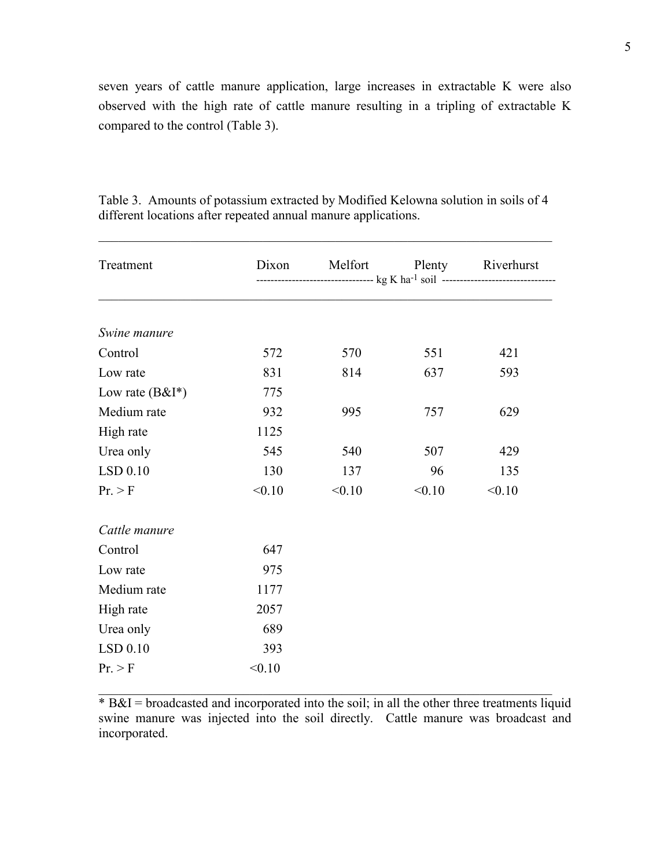seven years of cattle manure application, large increases in extractable K were also observed with the high rate of cattle manure resulting in a tripling of extractable K compared to the control (Table 3).

| Treatment          | Dixon  | Melfort                                                                                        |        | Plenty Riverhurst |  |  |
|--------------------|--------|------------------------------------------------------------------------------------------------|--------|-------------------|--|--|
|                    |        | ----------------------------------- kg K ha <sup>-1</sup> soil ------------------------------- |        |                   |  |  |
| Swine manure       |        |                                                                                                |        |                   |  |  |
| Control            | 572    | 570                                                                                            | 551    | 421               |  |  |
| Low rate           | 831    | 814                                                                                            | 637    | 593               |  |  |
| Low rate $(B&I^*)$ | 775    |                                                                                                |        |                   |  |  |
| Medium rate        | 932    | 995                                                                                            | 757    | 629               |  |  |
| High rate          | 1125   |                                                                                                |        |                   |  |  |
| Urea only          | 545    | 540                                                                                            | 507    | 429               |  |  |
| $LSD$ 0.10         | 130    | 137                                                                                            | 96     | 135               |  |  |
| Pr. > F            | < 0.10 | < 0.10                                                                                         | < 0.10 | < 0.10            |  |  |
| Cattle manure      |        |                                                                                                |        |                   |  |  |
| Control            | 647    |                                                                                                |        |                   |  |  |
| Low rate           | 975    |                                                                                                |        |                   |  |  |
| Medium rate        | 1177   |                                                                                                |        |                   |  |  |
| High rate          | 2057   |                                                                                                |        |                   |  |  |
| Urea only          | 689    |                                                                                                |        |                   |  |  |
| LSD 0.10           | 393    |                                                                                                |        |                   |  |  |
| Pr. > F            | < 0.10 |                                                                                                |        |                   |  |  |

Table 3. Amounts of potassium extracted by Modified Kelowna solution in soils of 4 different locations after repeated annual manure applications.

 $\mathcal{L}_\mathcal{L} = \mathcal{L}_\mathcal{L} = \mathcal{L}_\mathcal{L} = \mathcal{L}_\mathcal{L} = \mathcal{L}_\mathcal{L} = \mathcal{L}_\mathcal{L} = \mathcal{L}_\mathcal{L} = \mathcal{L}_\mathcal{L} = \mathcal{L}_\mathcal{L} = \mathcal{L}_\mathcal{L} = \mathcal{L}_\mathcal{L} = \mathcal{L}_\mathcal{L} = \mathcal{L}_\mathcal{L} = \mathcal{L}_\mathcal{L} = \mathcal{L}_\mathcal{L} = \mathcal{L}_\mathcal{L} = \mathcal{L}_\mathcal{L}$ 

 $* B&I =$  broadcasted and incorporated into the soil; in all the other three treatments liquid swine manure was injected into the soil directly. Cattle manure was broadcast and incorporated.

 $\mathcal{L}_\mathcal{L} = \mathcal{L}_\mathcal{L} = \mathcal{L}_\mathcal{L} = \mathcal{L}_\mathcal{L} = \mathcal{L}_\mathcal{L} = \mathcal{L}_\mathcal{L} = \mathcal{L}_\mathcal{L} = \mathcal{L}_\mathcal{L} = \mathcal{L}_\mathcal{L} = \mathcal{L}_\mathcal{L} = \mathcal{L}_\mathcal{L} = \mathcal{L}_\mathcal{L} = \mathcal{L}_\mathcal{L} = \mathcal{L}_\mathcal{L} = \mathcal{L}_\mathcal{L} = \mathcal{L}_\mathcal{L} = \mathcal{L}_\mathcal{L}$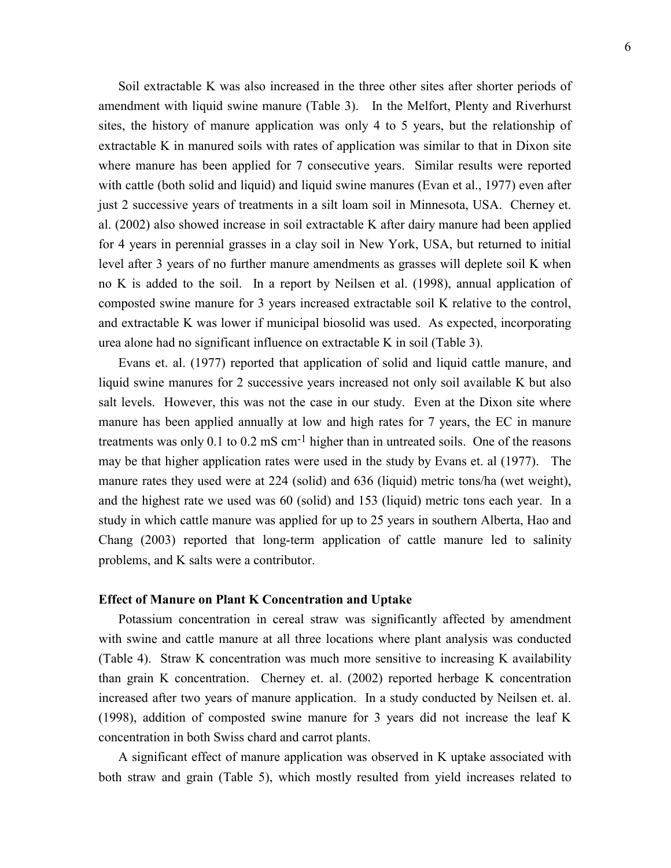Soil extractable K was also increased in the three other sites after shorter periods of amendment with liquid swine manure (Table 3). In the Melfort, Plenty and Riverhurst sites, the history of manure application was only 4 to 5 years, but the relationship of extractable K in manured soils with rates of application was similar to that in Dixon site where manure has been applied for 7 consecutive years. Similar results were reported with cattle (both solid and liquid) and liquid swine manures (Evan et al., 1977) even after just 2 successive years of treatments in a silt loam soil in Minnesota, USA. Cherney et. al. (2002) also showed increase in soil extractable K after dairy manure had been applied for 4 years in perennial grasses in a clay soil in New York, USA, but returned to initial level after 3 years of no further manure amendments as grasses will deplete soil K when no K is added to the soil. In a report by Neilsen et al. (1998), annual application of composted swine manure for 3 years increased extractable soil K relative to the control, and extractable K was lower if municipal biosolid was used. As expected, incorporating urea alone had no significant influence on extractable K in soil (Table 3).

 Evans et. al. (1977) reported that application of solid and liquid cattle manure, and liquid swine manures for 2 successive years increased not only soil available K but also salt levels. However, this was not the case in our study. Even at the Dixon site where manure has been applied annually at low and high rates for 7 years, the EC in manure treatments was only 0.1 to 0.2 mS  $cm^{-1}$  higher than in untreated soils. One of the reasons may be that higher application rates were used in the study by Evans et. al (1977). The manure rates they used were at 224 (solid) and 636 (liquid) metric tons/ha (wet weight), and the highest rate we used was 60 (solid) and 153 (liquid) metric tons each year. In a study in which cattle manure was applied for up to 25 years in southern Alberta, Hao and Chang (2003) reported that long-term application of cattle manure led to salinity problems, and K salts were a contributor.

## **Effect of Manure on Plant K Concentration and Uptake**

 Potassium concentration in cereal straw was significantly affected by amendment with swine and cattle manure at all three locations where plant analysis was conducted (Table 4). Straw K concentration was much more sensitive to increasing K availability than grain K concentration. Cherney et. al. (2002) reported herbage K concentration increased after two years of manure application. In a study conducted by Neilsen et. al. (1998), addition of composted swine manure for 3 years did not increase the leaf K concentration in both Swiss chard and carrot plants.

 A significant effect of manure application was observed in K uptake associated with both straw and grain (Table 5), which mostly resulted from yield increases related to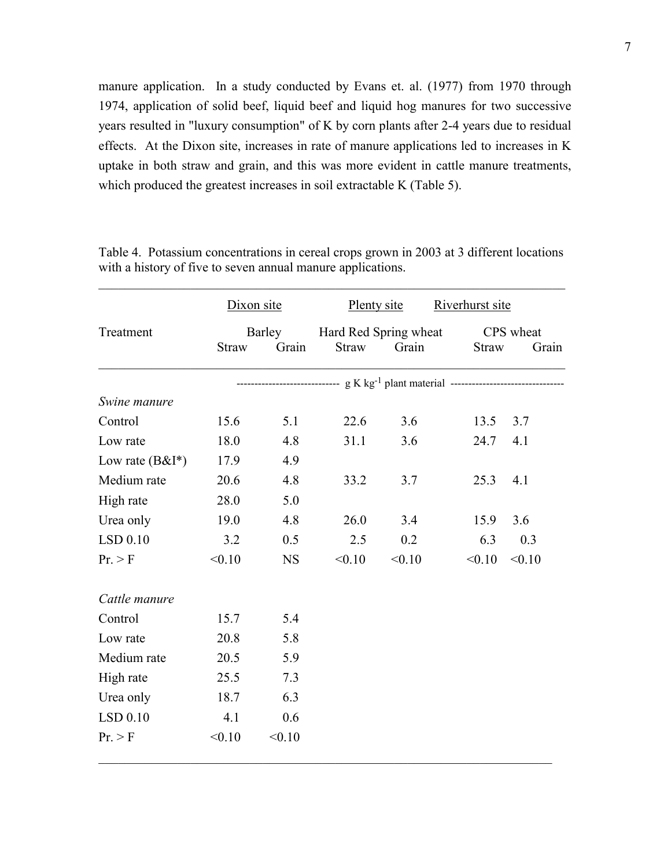manure application. In a study conducted by Evans et. al. (1977) from 1970 through 1974, application of solid beef, liquid beef and liquid hog manures for two successive years resulted in "luxury consumption" of K by corn plants after 2-4 years due to residual effects. At the Dixon site, increases in rate of manure applications led to increases in K uptake in both straw and grain, and this was more evident in cattle manure treatments, which produced the greatest increases in soil extractable K (Table 5).

|                    | Dixon site   |           | Plenty site                                                                          |                       | Riverhurst site |           |  |
|--------------------|--------------|-----------|--------------------------------------------------------------------------------------|-----------------------|-----------------|-----------|--|
| Treatment          | Barley       |           |                                                                                      | Hard Red Spring wheat |                 | CPS wheat |  |
|                    | <b>Straw</b> | Grain     | <b>Straw</b>                                                                         | Grain                 | <b>Straw</b>    | Grain     |  |
|                    |              |           | -------------------- g K kg <sup>-1</sup> plant material --------------------------- |                       |                 |           |  |
| Swine manure       |              |           |                                                                                      |                       |                 |           |  |
| Control            | 15.6         | 5.1       | 22.6                                                                                 | 3.6                   | 13.5            | 3.7       |  |
| Low rate           | 18.0         | 4.8       | 31.1                                                                                 | 3.6                   | 24.7            | 4.1       |  |
| Low rate $(B&I^*)$ | 17.9         | 4.9       |                                                                                      |                       |                 |           |  |
| Medium rate        | 20.6         | 4.8       | 33.2                                                                                 | 3.7                   | 25.3            | 4.1       |  |
| High rate          | 28.0         | 5.0       |                                                                                      |                       |                 |           |  |
| Urea only          | 19.0         | 4.8       | 26.0                                                                                 | 3.4                   | 15.9            | 3.6       |  |
| LSD 0.10           | 3.2          | 0.5       | 2.5                                                                                  | 0.2                   | 6.3             | 0.3       |  |
| Pr. > F            | < 0.10       | <b>NS</b> | < 0.10                                                                               | < 0.10                | < 0.10          | < 0.10    |  |
| Cattle manure      |              |           |                                                                                      |                       |                 |           |  |
| Control            | 15.7         | 5.4       |                                                                                      |                       |                 |           |  |
| Low rate           | 20.8         | 5.8       |                                                                                      |                       |                 |           |  |
| Medium rate        | 20.5         | 5.9       |                                                                                      |                       |                 |           |  |
| High rate          | 25.5         | 7.3       |                                                                                      |                       |                 |           |  |
| Urea only          | 18.7         | 6.3       |                                                                                      |                       |                 |           |  |
| LSD 0.10           | 4.1          | 0.6       |                                                                                      |                       |                 |           |  |
| Pr. > F            | < 0.10       | < 0.10    |                                                                                      |                       |                 |           |  |

Table 4. Potassium concentrations in cereal crops grown in 2003 at 3 different locations with a history of five to seven annual manure applications.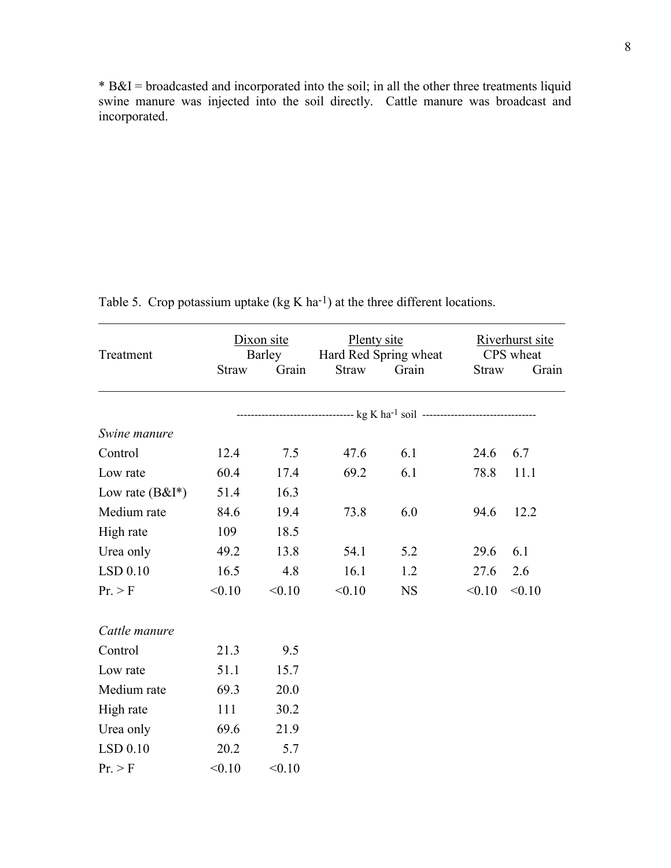\* B&I = broadcasted and incorporated into the soil; in all the other three treatments liquid swine manure was injected into the soil directly. Cattle manure was broadcast and incorporated.

| Treatment          | Dixon site<br>Plenty site<br>Hard Red Spring wheat<br>Barley<br>Grain<br><b>Straw</b><br><b>Straw</b> |        | Grain  | Riverhurst site<br>CPS wheat<br><b>Straw</b><br>Grain                                         |        |        |
|--------------------|-------------------------------------------------------------------------------------------------------|--------|--------|-----------------------------------------------------------------------------------------------|--------|--------|
|                    |                                                                                                       |        |        |                                                                                               |        |        |
|                    |                                                                                                       |        |        | --------------------------------- kg K ha <sup>-1</sup> soil -------------------------------- |        |        |
| Swine manure       |                                                                                                       |        |        |                                                                                               |        |        |
| Control            | 12.4                                                                                                  | 7.5    | 47.6   | 6.1                                                                                           | 24.6   | 6.7    |
| Low rate           | 60.4                                                                                                  | 17.4   | 69.2   | 6.1                                                                                           | 78.8   | 11.1   |
| Low rate $(B&I^*)$ | 51.4                                                                                                  | 16.3   |        |                                                                                               |        |        |
| Medium rate        | 84.6                                                                                                  | 19.4   | 73.8   | 6.0                                                                                           | 94.6   | 12.2   |
| High rate          | 109                                                                                                   | 18.5   |        |                                                                                               |        |        |
| Urea only          | 49.2                                                                                                  | 13.8   | 54.1   | 5.2                                                                                           | 29.6   | 6.1    |
| $LSD$ 0.10         | 16.5                                                                                                  | 4.8    | 16.1   | 1.2                                                                                           | 27.6   | 2.6    |
| Pr. > F            | < 0.10                                                                                                | < 0.10 | < 0.10 | <b>NS</b>                                                                                     | < 0.10 | < 0.10 |
| Cattle manure      |                                                                                                       |        |        |                                                                                               |        |        |
| Control            | 21.3                                                                                                  | 9.5    |        |                                                                                               |        |        |
| Low rate           | 51.1                                                                                                  | 15.7   |        |                                                                                               |        |        |
| Medium rate        | 69.3                                                                                                  | 20.0   |        |                                                                                               |        |        |
| High rate          | 111                                                                                                   | 30.2   |        |                                                                                               |        |        |
| Urea only          | 69.6                                                                                                  | 21.9   |        |                                                                                               |        |        |
| LSD 0.10           | 20.2                                                                                                  | 5.7    |        |                                                                                               |        |        |
| Pr. > F            | < 0.10                                                                                                | < 0.10 |        |                                                                                               |        |        |

Table 5. Crop potassium uptake  $(kg K ha<sup>-1</sup>)$  at the three different locations.

 $\_$  , and the contribution of the contribution of  $\mathcal{L}_\mathcal{A}$  , and the contribution of  $\mathcal{L}_\mathcal{A}$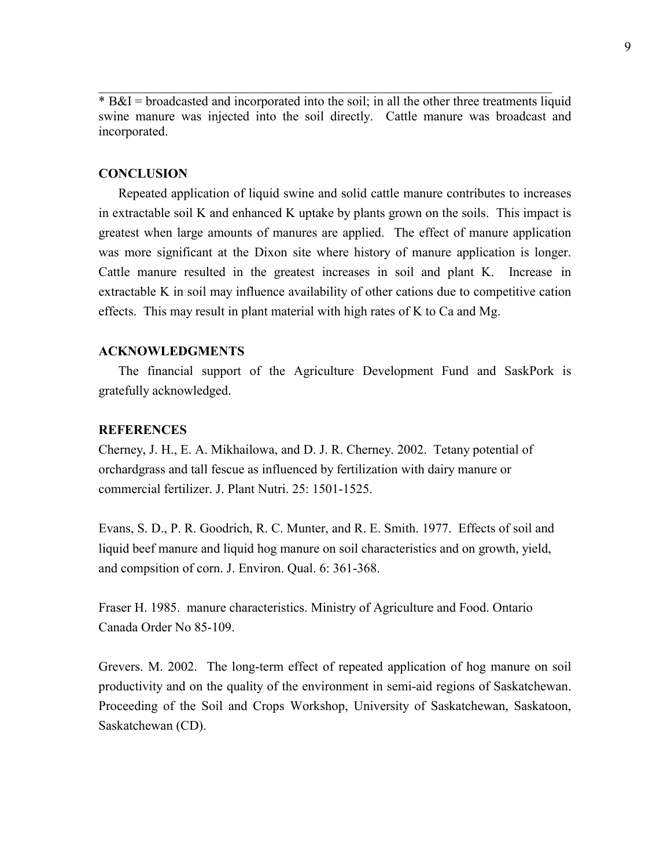\* B&I = broadcasted and incorporated into the soil; in all the other three treatments liquid swine manure was injected into the soil directly. Cattle manure was broadcast and incorporated.

 $\mathcal{L}_\mathcal{L} = \mathcal{L}_\mathcal{L} = \mathcal{L}_\mathcal{L} = \mathcal{L}_\mathcal{L} = \mathcal{L}_\mathcal{L} = \mathcal{L}_\mathcal{L} = \mathcal{L}_\mathcal{L} = \mathcal{L}_\mathcal{L} = \mathcal{L}_\mathcal{L} = \mathcal{L}_\mathcal{L} = \mathcal{L}_\mathcal{L} = \mathcal{L}_\mathcal{L} = \mathcal{L}_\mathcal{L} = \mathcal{L}_\mathcal{L} = \mathcal{L}_\mathcal{L} = \mathcal{L}_\mathcal{L} = \mathcal{L}_\mathcal{L}$ 

# **CONCLUSION**

 Repeated application of liquid swine and solid cattle manure contributes to increases in extractable soil K and enhanced K uptake by plants grown on the soils. This impact is greatest when large amounts of manures are applied. The effect of manure application was more significant at the Dixon site where history of manure application is longer. Cattle manure resulted in the greatest increases in soil and plant K. Increase in extractable K in soil may influence availability of other cations due to competitive cation effects. This may result in plant material with high rates of K to Ca and Mg.

## **ACKNOWLEDGMENTS**

 The financial support of the Agriculture Development Fund and SaskPork is gratefully acknowledged.

## **REFERENCES**

Cherney, J. H., E. A. Mikhailowa, and D. J. R. Cherney. 2002. Tetany potential of orchardgrass and tall fescue as influenced by fertilization with dairy manure or commercial fertilizer. J. Plant Nutri. 25: 1501-1525.

Evans, S. D., P. R. Goodrich, R. C. Munter, and R. E. Smith. 1977. Effects of soil and liquid beef manure and liquid hog manure on soil characteristics and on growth, yield, and compsition of corn. J. Environ. Qual. 6: 361-368.

Fraser H. 1985. manure characteristics. Ministry of Agriculture and Food. Ontario Canada Order No 85-109.

Grevers. M. 2002. The long-term effect of repeated application of hog manure on soil productivity and on the quality of the environment in semi-aid regions of Saskatchewan. Proceeding of the Soil and Crops Workshop, University of Saskatchewan, Saskatoon, Saskatchewan (CD).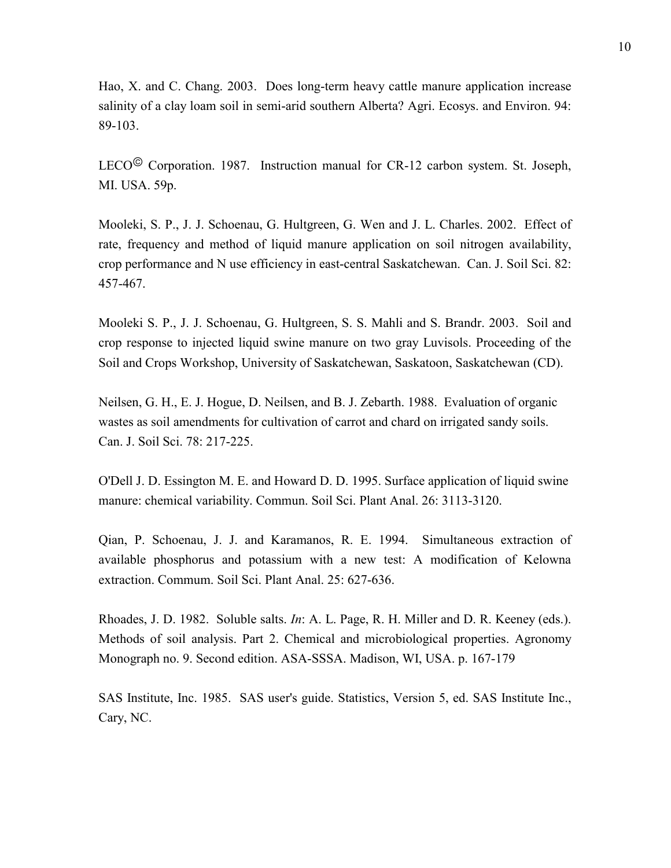Hao, X. and C. Chang. 2003. Does long-term heavy cattle manure application increase salinity of a clay loam soil in semi-arid southern Alberta? Agri. Ecosys. and Environ. 94: 89-103.

LECO<sup>©</sup> Corporation. 1987. Instruction manual for CR-12 carbon system. St. Joseph, MI. USA. 59p.

Mooleki, S. P., J. J. Schoenau, G. Hultgreen, G. Wen and J. L. Charles. 2002. Effect of rate, frequency and method of liquid manure application on soil nitrogen availability, crop performance and N use efficiency in east-central Saskatchewan. Can. J. Soil Sci. 82: 457-467.

Mooleki S. P., J. J. Schoenau, G. Hultgreen, S. S. Mahli and S. Brandr. 2003. Soil and crop response to injected liquid swine manure on two gray Luvisols. Proceeding of the Soil and Crops Workshop, University of Saskatchewan, Saskatoon, Saskatchewan (CD).

Neilsen, G. H., E. J. Hogue, D. Neilsen, and B. J. Zebarth. 1988. Evaluation of organic wastes as soil amendments for cultivation of carrot and chard on irrigated sandy soils. Can. J. Soil Sci. 78: 217-225.

O'Dell J. D. Essington M. E. and Howard D. D. 1995. Surface application of liquid swine manure: chemical variability. Commun. Soil Sci. Plant Anal. 26: 3113-3120.

Qian, P. Schoenau, J. J. and Karamanos, R. E. 1994. Simultaneous extraction of available phosphorus and potassium with a new test: A modification of Kelowna extraction. Commum. Soil Sci. Plant Anal. 25: 627-636.

Rhoades, J. D. 1982. Soluble salts. *In*: A. L. Page, R. H. Miller and D. R. Keeney (eds.). Methods of soil analysis. Part 2. Chemical and microbiological properties. Agronomy Monograph no. 9. Second edition. ASA-SSSA. Madison, WI, USA. p. 167-179

SAS Institute, Inc. 1985. SAS user's guide. Statistics, Version 5, ed. SAS Institute Inc., Cary, NC.